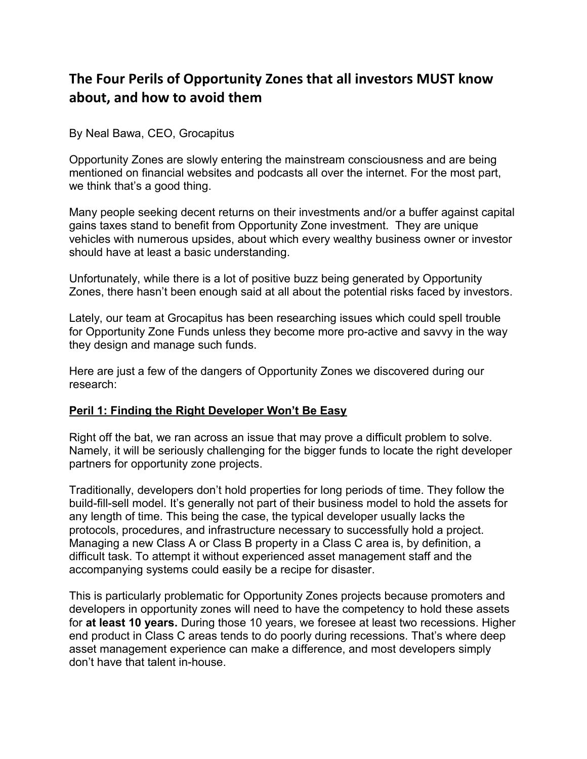# **The Four Perils of Opportunity Zones that all investors MUST know about, and how to avoid them**

By Neal Bawa, CEO, Grocapitus

Opportunity Zones are slowly entering the mainstream consciousness and are being mentioned on financial websites and podcasts all over the internet. For the most part, we think that's a good thing.

Many people seeking decent returns on their investments and/or a buffer against capital gains taxes stand to benefit from Opportunity Zone investment. They are unique vehicles with numerous upsides, about which every wealthy business owner or investor should have at least a basic understanding.

Unfortunately, while there is a lot of positive buzz being generated by Opportunity Zones, there hasn't been enough said at all about the potential risks faced by investors.

Lately, our team at Grocapitus has been researching issues which could spell trouble for Opportunity Zone Funds unless they become more pro-active and savvy in the way they design and manage such funds.

Here are just a few of the dangers of Opportunity Zones we discovered during our research:

### **Peril 1: Finding the Right Developer Won't Be Easy**

Right off the bat, we ran across an issue that may prove a difficult problem to solve. Namely, it will be seriously challenging for the bigger funds to locate the right developer partners for opportunity zone projects.

Traditionally, developers don't hold properties for long periods of time. They follow the build-fill-sell model. It's generally not part of their business model to hold the assets for any length of time. This being the case, the typical developer usually lacks the protocols, procedures, and infrastructure necessary to successfully hold a project. Managing a new Class A or Class B property in a Class C area is, by definition, a difficult task. To attempt it without experienced asset management staff and the accompanying systems could easily be a recipe for disaster.

This is particularly problematic for Opportunity Zones projects because promoters and developers in opportunity zones will need to have the competency to hold these assets for **at least 10 years.** During those 10 years, we foresee at least two recessions. Higher end product in Class C areas tends to do poorly during recessions. That's where deep asset management experience can make a difference, and most developers simply don't have that talent in-house.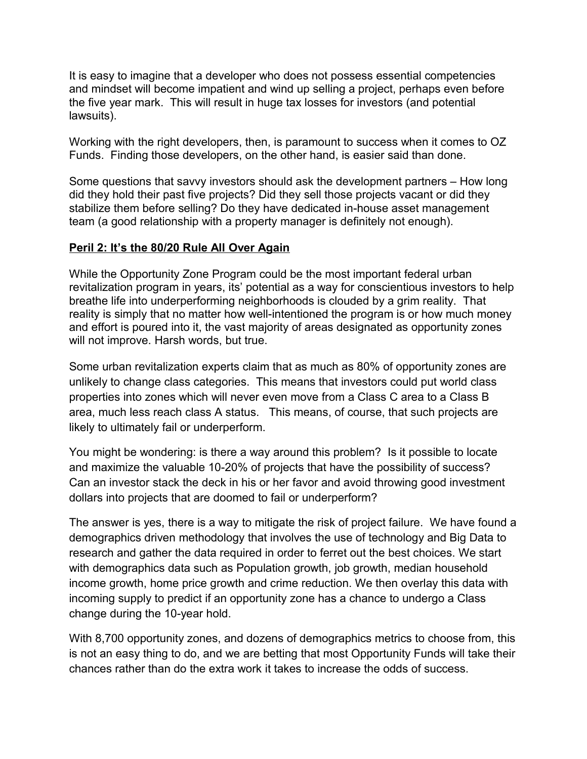It is easy to imagine that a developer who does not possess essential competencies and mindset will become impatient and wind up selling a project, perhaps even before the five year mark. This will result in huge tax losses for investors (and potential lawsuits).

Working with the right developers, then, is paramount to success when it comes to OZ Funds. Finding those developers, on the other hand, is easier said than done.

Some questions that savvy investors should ask the development partners – How long did they hold their past five projects? Did they sell those projects vacant or did they stabilize them before selling? Do they have dedicated in-house asset management team (a good relationship with a property manager is definitely not enough).

## **Peril 2: It's the 80/20 Rule All Over Again**

While the Opportunity Zone Program could be the most important federal urban revitalization program in years, its' potential as a way for conscientious investors to help breathe life into underperforming neighborhoods is clouded by a grim reality. That reality is simply that no matter how well-intentioned the program is or how much money and effort is poured into it, the vast majority of areas designated as opportunity zones will not improve. Harsh words, but true.

Some urban revitalization experts claim that as much as 80% of opportunity zones are unlikely to change class categories. This means that investors could put world class properties into zones which will never even move from a Class C area to a Class B area, much less reach class A status. This means, of course, that such projects are likely to ultimately fail or underperform.

You might be wondering: is there a way around this problem? Is it possible to locate and maximize the valuable 10-20% of projects that have the possibility of success? Can an investor stack the deck in his or her favor and avoid throwing good investment dollars into projects that are doomed to fail or underperform?

The answer is yes, there is a way to mitigate the risk of project failure. We have found a demographics driven methodology that involves the use of technology and Big Data to research and gather the data required in order to ferret out the best choices. We start with demographics data such as Population growth, job growth, median household income growth, home price growth and crime reduction. We then overlay this data with incoming supply to predict if an opportunity zone has a chance to undergo a Class change during the 10-year hold.

With 8,700 opportunity zones, and dozens of demographics metrics to choose from, this is not an easy thing to do, and we are betting that most Opportunity Funds will take their chances rather than do the extra work it takes to increase the odds of success.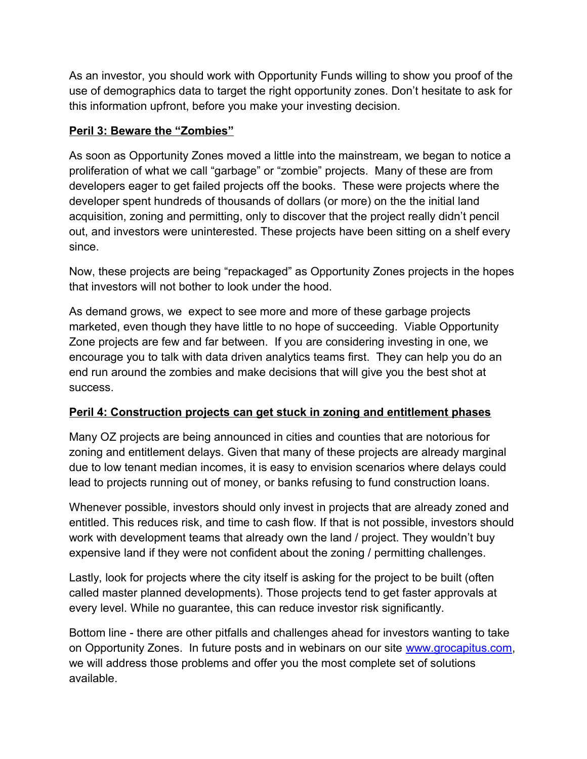As an investor, you should work with Opportunity Funds willing to show you proof of the use of demographics data to target the right opportunity zones. Don't hesitate to ask for this information upfront, before you make your investing decision.

# **Peril 3: Beware the "Zombies"**

As soon as Opportunity Zones moved a little into the mainstream, we began to notice a proliferation of what we call "garbage" or "zombie" projects. Many of these are from developers eager to get failed projects off the books. These were projects where the developer spent hundreds of thousands of dollars (or more) on the the initial land acquisition, zoning and permitting, only to discover that the project really didn't pencil out, and investors were uninterested. These projects have been sitting on a shelf every since.

Now, these projects are being "repackaged" as Opportunity Zones projects in the hopes that investors will not bother to look under the hood.

As demand grows, we expect to see more and more of these garbage projects marketed, even though they have little to no hope of succeeding. Viable Opportunity Zone projects are few and far between. If you are considering investing in one, we encourage you to talk with data driven analytics teams first. They can help you do an end run around the zombies and make decisions that will give you the best shot at success.

## **Peril 4: Construction projects can get stuck in zoning and entitlement phases**

Many OZ projects are being announced in cities and counties that are notorious for zoning and entitlement delays. Given that many of these projects are already marginal due to low tenant median incomes, it is easy to envision scenarios where delays could lead to projects running out of money, or banks refusing to fund construction loans.

Whenever possible, investors should only invest in projects that are already zoned and entitled. This reduces risk, and time to cash flow. If that is not possible, investors should work with development teams that already own the land / project. They wouldn't buy expensive land if they were not confident about the zoning / permitting challenges.

Lastly, look for projects where the city itself is asking for the project to be built (often called master planned developments). Those projects tend to get faster approvals at every level. While no guarantee, this can reduce investor risk significantly.

Bottom line - there are other pitfalls and challenges ahead for investors wanting to take on Opportunity Zones. In future posts and in webinars on our site [www.grocapitus.com,](http://www.grocapitus.com/) we will address those problems and offer you the most complete set of solutions available.